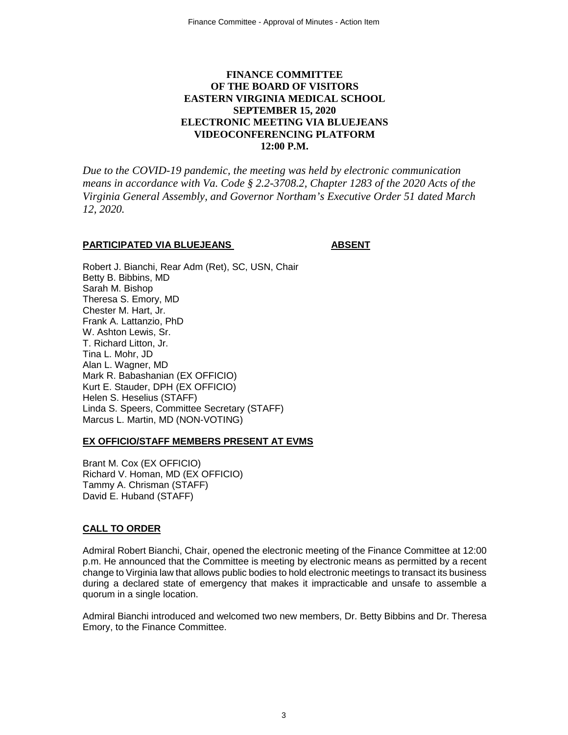# **FINANCE COMMITTEE OF THE BOARD OF VISITORS EASTERN VIRGINIA MEDICAL SCHOOL SEPTEMBER 15, 2020 ELECTRONIC MEETING VIA BLUEJEANS VIDEOCONFERENCING PLATFORM 12:00 P.M.**

*Due to the COVID-19 pandemic, the meeting was held by electronic communication means in accordance with Va. Code § 2.2-3708.2, Chapter 1283 of the 2020 Acts of the Virginia General Assembly, and Governor Northam's Executive Order 51 dated March 12, 2020.*

#### **PARTICIPATED VIA BLUEJEANS ABSENT**

Robert J. Bianchi, Rear Adm (Ret), SC, USN, Chair Betty B. Bibbins, MD Sarah M. Bishop Theresa S. Emory, MD Chester M. Hart, Jr. Frank A. Lattanzio, PhD W. Ashton Lewis, Sr. T. Richard Litton, Jr. Tina L. Mohr, JD Alan L. Wagner, MD Mark R. Babashanian (EX OFFICIO) Kurt E. Stauder, DPH (EX OFFICIO) Helen S. Heselius (STAFF) Linda S. Speers, Committee Secretary (STAFF) Marcus L. Martin, MD (NON-VOTING)

#### **EX OFFICIO/STAFF MEMBERS PRESENT AT EVMS**

Brant M. Cox (EX OFFICIO) Richard V. Homan, MD (EX OFFICIO) Tammy A. Chrisman (STAFF) David E. Huband (STAFF)

## **CALL TO ORDER**

Admiral Robert Bianchi, Chair, opened the electronic meeting of the Finance Committee at 12:00 p.m. He announced that the Committee is meeting by electronic means as permitted by a recent change to Virginia law that allows public bodies to hold electronic meetings to transact its business during a declared state of emergency that makes it impracticable and unsafe to assemble a quorum in a single location.

Admiral Bianchi introduced and welcomed two new members, Dr. Betty Bibbins and Dr. Theresa Emory, to the Finance Committee.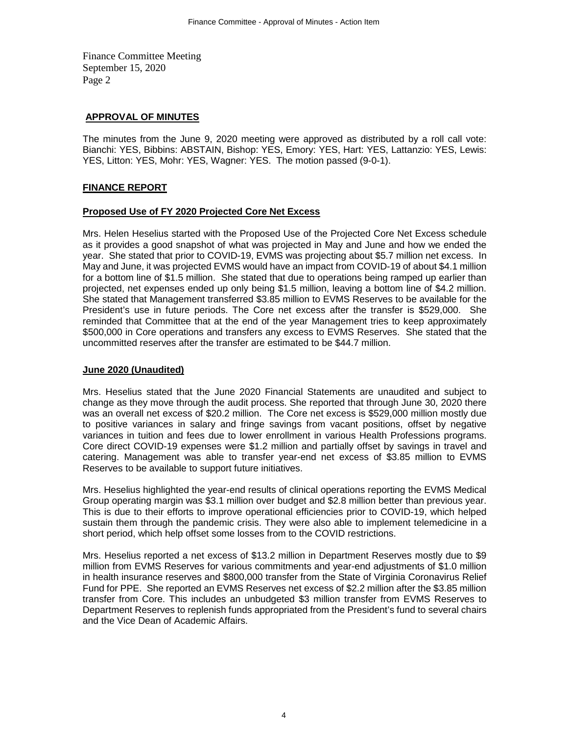Finance Committee Meeting September 15, 2020 Page 2

## **APPROVAL OF MINUTES**

The minutes from the June 9, 2020 meeting were approved as distributed by a roll call vote: Bianchi: YES, Bibbins: ABSTAIN, Bishop: YES, Emory: YES, Hart: YES, Lattanzio: YES, Lewis: YES, Litton: YES, Mohr: YES, Wagner: YES. The motion passed (9-0-1).

## **FINANCE REPORT**

## **Proposed Use of FY 2020 Projected Core Net Excess**

Mrs. Helen Heselius started with the Proposed Use of the Projected Core Net Excess schedule as it provides a good snapshot of what was projected in May and June and how we ended the year. She stated that prior to COVID-19, EVMS was projecting about \$5.7 million net excess. In May and June, it was projected EVMS would have an impact from COVID-19 of about \$4.1 million for a bottom line of \$1.5 million. She stated that due to operations being ramped up earlier than projected, net expenses ended up only being \$1.5 million, leaving a bottom line of \$4.2 million. She stated that Management transferred \$3.85 million to EVMS Reserves to be available for the President's use in future periods. The Core net excess after the transfer is \$529,000. She reminded that Committee that at the end of the year Management tries to keep approximately \$500,000 in Core operations and transfers any excess to EVMS Reserves. She stated that the uncommitted reserves after the transfer are estimated to be \$44.7 million.

#### **June 2020 (Unaudited)**

Mrs. Heselius stated that the June 2020 Financial Statements are unaudited and subject to change as they move through the audit process. She reported that through June 30, 2020 there was an overall net excess of \$20.2 million. The Core net excess is \$529,000 million mostly due to positive variances in salary and fringe savings from vacant positions, offset by negative variances in tuition and fees due to lower enrollment in various Health Professions programs. Core direct COVID-19 expenses were \$1.2 million and partially offset by savings in travel and catering. Management was able to transfer year-end net excess of \$3.85 million to EVMS Reserves to be available to support future initiatives.

Mrs. Heselius highlighted the year-end results of clinical operations reporting the EVMS Medical Group operating margin was \$3.1 million over budget and \$2.8 million better than previous year. This is due to their efforts to improve operational efficiencies prior to COVID-19, which helped sustain them through the pandemic crisis. They were also able to implement telemedicine in a short period, which help offset some losses from to the COVID restrictions.

Mrs. Heselius reported a net excess of \$13.2 million in Department Reserves mostly due to \$9 million from EVMS Reserves for various commitments and year-end adjustments of \$1.0 million in health insurance reserves and \$800,000 transfer from the State of Virginia Coronavirus Relief Fund for PPE. She reported an EVMS Reserves net excess of \$2.2 million after the \$3.85 million transfer from Core. This includes an unbudgeted \$3 million transfer from EVMS Reserves to Department Reserves to replenish funds appropriated from the President's fund to several chairs and the Vice Dean of Academic Affairs.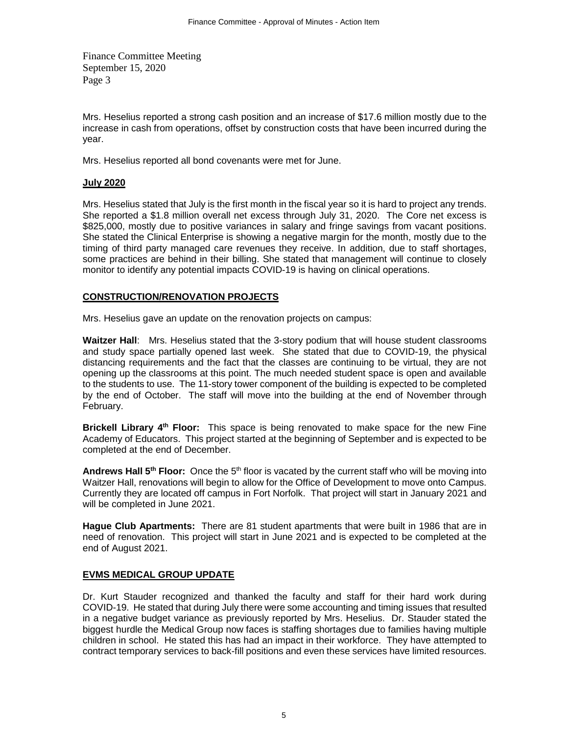Finance Committee Meeting September 15, 2020 Page 3

Mrs. Heselius reported a strong cash position and an increase of \$17.6 million mostly due to the increase in cash from operations, offset by construction costs that have been incurred during the year.

Mrs. Heselius reported all bond covenants were met for June.

## **July 2020**

Mrs. Heselius stated that July is the first month in the fiscal year so it is hard to project any trends. She reported a \$1.8 million overall net excess through July 31, 2020. The Core net excess is \$825,000, mostly due to positive variances in salary and fringe savings from vacant positions. She stated the Clinical Enterprise is showing a negative margin for the month, mostly due to the timing of third party managed care revenues they receive. In addition, due to staff shortages, some practices are behind in their billing. She stated that management will continue to closely monitor to identify any potential impacts COVID-19 is having on clinical operations.

## **CONSTRUCTION/RENOVATION PROJECTS**

Mrs. Heselius gave an update on the renovation projects on campus:

**Waitzer Hall**: Mrs. Heselius stated that the 3-story podium that will house student classrooms and study space partially opened last week. She stated that due to COVID-19, the physical distancing requirements and the fact that the classes are continuing to be virtual, they are not opening up the classrooms at this point. The much needed student space is open and available to the students to use. The 11-story tower component of the building is expected to be completed by the end of October. The staff will move into the building at the end of November through February.

**Brickell Library 4th Floor:** This space is being renovated to make space for the new Fine Academy of Educators. This project started at the beginning of September and is expected to be completed at the end of December.

**Andrews Hall 5th Floor:** Once the 5th floor is vacated by the current staff who will be moving into Waitzer Hall, renovations will begin to allow for the Office of Development to move onto Campus. Currently they are located off campus in Fort Norfolk. That project will start in January 2021 and will be completed in June 2021.

**Hague Club Apartments:** There are 81 student apartments that were built in 1986 that are in need of renovation. This project will start in June 2021 and is expected to be completed at the end of August 2021.

## **EVMS MEDICAL GROUP UPDATE**

Dr. Kurt Stauder recognized and thanked the faculty and staff for their hard work during COVID-19. He stated that during July there were some accounting and timing issues that resulted in a negative budget variance as previously reported by Mrs. Heselius. Dr. Stauder stated the biggest hurdle the Medical Group now faces is staffing shortages due to families having multiple children in school. He stated this has had an impact in their workforce. They have attempted to contract temporary services to back-fill positions and even these services have limited resources.